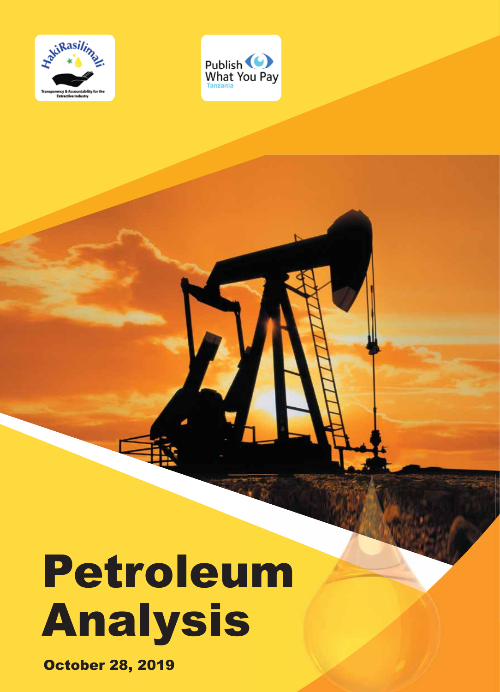



# Petroleum Analysis

October 28, 2019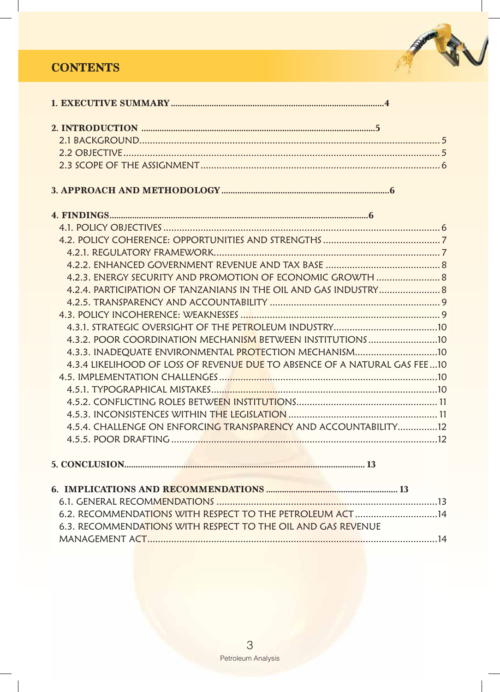# **CONTENTS**



| 4.2.3. ENERGY SECURITY AND PROMOTION OF ECONOMIC GROWTH  8                |  |
|---------------------------------------------------------------------------|--|
|                                                                           |  |
|                                                                           |  |
|                                                                           |  |
|                                                                           |  |
|                                                                           |  |
| 4.3.3. INADEQUATE ENVIRONMENTAL PROTECTION MECHANISM10                    |  |
| 4.3.4 LIKELIHOOD OF LOSS OF REVENUE DUE TO ABSENCE OF A NATURAL GAS FEE10 |  |
|                                                                           |  |
|                                                                           |  |
|                                                                           |  |
|                                                                           |  |
| 4.5.4. CHALLENGE ON ENFORCING TRANSPARENCY AND ACCOUNTABILITY12           |  |
|                                                                           |  |
|                                                                           |  |

| 6.2. RECOMMENDATIONS WITH RESPECT TO THE PETROLEUM ACT 14    |  |
|--------------------------------------------------------------|--|
| 6.3. RECOMMENDATIONS WITH RESPECT TO THE OIL AND GAS REVENUE |  |
|                                                              |  |
|                                                              |  |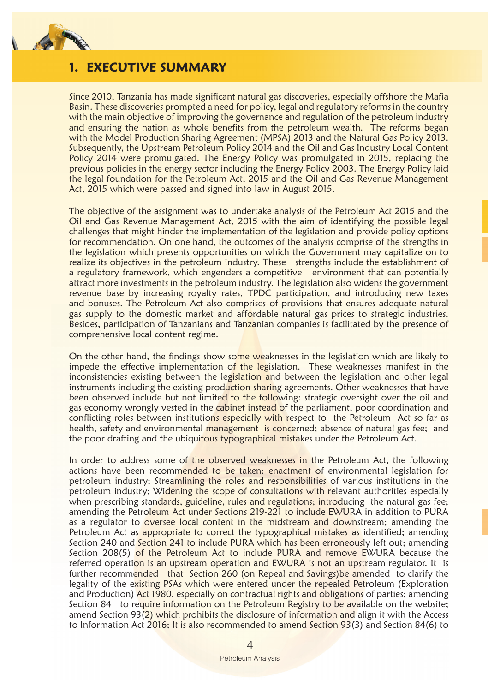

## **1. EXECUTIVE SUMMARY**

Since 2010, Tanzania has made significant natural gas discoveries, especially offshore the Mafia Basin. These discoveries prompted a need for policy, legal and regulatory reforms in the country with the main objective of improving the governance and regulation of the petroleum industry and ensuring the nation as whole benefits from the petroleum wealth. The reforms began with the Model Production Sharing Agreement (MPSA) 2013 and the Natural Gas Policy 2013. Subsequently, the Upstream Petroleum Policy 2014 and the Oil and Gas Industry Local Content Policy 2014 were promulgated. The Energy Policy was promulgated in 2015, replacing the previous policies in the energy sector including the Energy Policy 2003. The Energy Policy laid the legal foundation for the Petroleum Act, 2015 and the Oil and Gas Revenue Management Act, 2015 which were passed and signed into law in August 2015.

The objective of the assignment was to undertake analysis of the Petroleum Act 2015 and the Oil and Gas Revenue Management Act, 2015 with the aim of identifying the possible legal challenges that might hinder the implementation of the legislation and provide policy options for recommendation. On one hand, the outcomes of the analysis comprise of the strengths in the legislation which presents opportunities on which the Government may capitalize on to realize its objectives in the petroleum industry. These strengths include the establishment of a regulatory framework, which engenders a competitive environment that can potentially attract more investments in the petroleum industry. The legislation also widens the government revenue base by increasing royalty rates, TPDC participation, and introducing new taxes and bonuses. The Petroleum Act also comprises of provisions that ensures adequate natural gas supply to the domestic market and affordable natural gas prices to strategic industries. Besides, participation of Tanzanians and Tanzanian companies is facilitated by the presence of comprehensive local content regime.

On the other hand, the findings show some weaknesses in the legislation which are likely to impede the effective implementation of the legislation. These weaknesses manifest in the inconsistencies existing between the legislation and between the legislation and other legal instruments including the existing production sharing agreements. Other weaknesses that have been observed include but not limited to the following: strategic oversight over the oil and gas economy wrongly vested in the cabinet instead of the parliament, poor coordination and conflicting roles between institutions especially with respect to the Petroleum Act so far as health, safety and environmental management is concerned; absence of natural gas fee; and the poor drafting and the ubiquitous typographical mistakes under the Petroleum Act.

In order to address some of the observed weaknesses in the Petroleum Act, the following actions have been recommended to be taken: enactment of environmental legislation for petroleum industry; Streamlining the roles and responsibilities of various institutions in the petroleum industry; Widening the scope of consultations with relevant authorities especially when prescribing standards, guideline, rules and regulations; introducing the natural gas fee; amending the Petroleum Act under Sections 219-221 to include EWURA in addition to PURA as a regulator to oversee local content in the midstream and downstream; amending the Petroleum Act as appropriate to correct the typographical mistakes as identified; amending Section 240 and Section 241 to include PURA which has been erroneously left out; amending Section 208(5) of the Petroleum Act to include PURA and remove EWURA because the referred operation is an upstream operation and EWURA is not an upstream regulator. It is further recommended that Section 260 (on Repeal and Savings)be amended to clarify the legality of the existing PSAs which were entered under the repealed Petroleum (Exploration and Production) Act 1980, especially on contractual rights and obligations of parties; amending Section 84 to require information on the Petroleum Registry to be available on the website; amend Section 93(2) which prohibits the disclosure of information and align it with the Access to Information Act 2016; It is also recommended to amend Section 93(3) and Section 84(6) to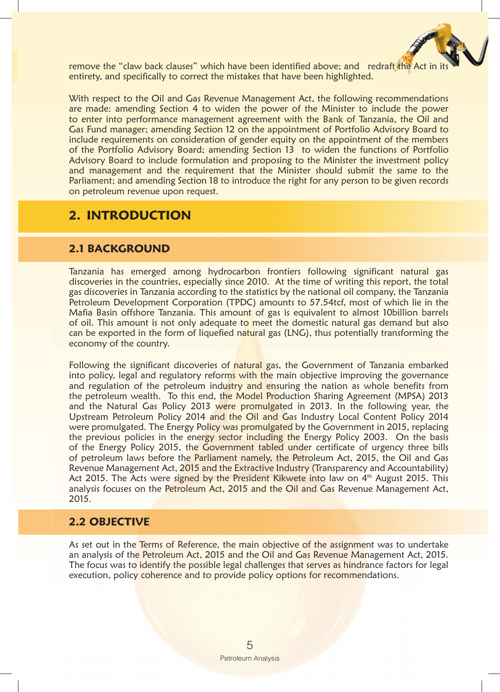

remove the "claw back clauses" which have been identified above; and redraft the Act in entirety, and specifically to correct the mistakes that have been highlighted.

With respect to the Oil and Gas Revenue Management Act, the following recommendations are made: amending Section 4 to widen the power of the Minister to include the power to enter into performance management agreement with the Bank of Tanzania, the Oil and Gas Fund manager; amending Section 12 on the appointment of Portfolio Advisory Board to include requirements on consideration of gender equity on the appointment of the members of the Portfolio Advisory Board; amending Section 13 to widen the functions of Portfolio Advisory Board to include formulation and proposing to the Minister the investment policy and management and the requirement that the Minister should submit the same to the Parliament; and amending Section 18 to introduce the right for any person to be given records on petroleum revenue upon request.

## **2. INTRODUCTION**

## **2.1 BACKGROUND**

Tanzania has emerged among hydrocarbon frontiers following significant natural gas discoveries in the countries, especially since 2010. At the time of writing this report, the total gas discoveries in Tanzania according to the statistics by the national oil company, the Tanzania Petroleum Development Corporation (TPDC) amounts to 57.54tcf, most of which lie in the Mafia Basin offshore Tanzania. This amount of gas is equivalent to almost 10 billion barrels of oil. This amount is not only adequate to meet the domestic natural gas demand but also can be exported in the form of liquefied natural gas (LNG), thus potentially transforming the economy of the country.

Following the significant discoveries of natural gas, the Government of Tanzania embarked into policy, legal and regulatory reforms with the main objective improving the governance and regulation of the petroleum industry and ensuring the nation as whole benefits from the petroleum wealth. To this end, the Model Production Sharing Agreement (MPSA) 2013 and the Natural Gas Policy 2013 were promulgated in 2013. In the following year, the Upstream Petroleum Policy 2014 and the Oil and Gas Industry Local Content Policy 2014 were promulgated. The Energy Policy was promulgated by the Government in 2015, replacing the previous policies in the energy sector including the Energy Policy 2003. On the basis of the Energy Policy 2015, the Government tabled under certificate of urgency three bills of petroleum laws before the Parliament namely, the Petroleum Act, 2015, the Oil and Gas Revenue Management Act, 2015 and the Extractive Industry (Transparency and Accountability) Act 2015. The Acts were signed by the President Kikwete into law on 4<sup>th</sup> August 2015. This analysis focuses on the Petroleum Act, 2015 and the Oil and Gas Revenue Management Act, 2015.

## **2.2 OBJECTIVE**

As set out in the Terms of Reference, the main objective of the assignment was to undertake an analysis of the Petroleum Act, 2015 and the Oil and Gas Revenue Management Act, 2015. The focus was to identify the possible legal challenges that serves as hindrance factors for legal execution, policy coherence and to provide policy options for recommendations.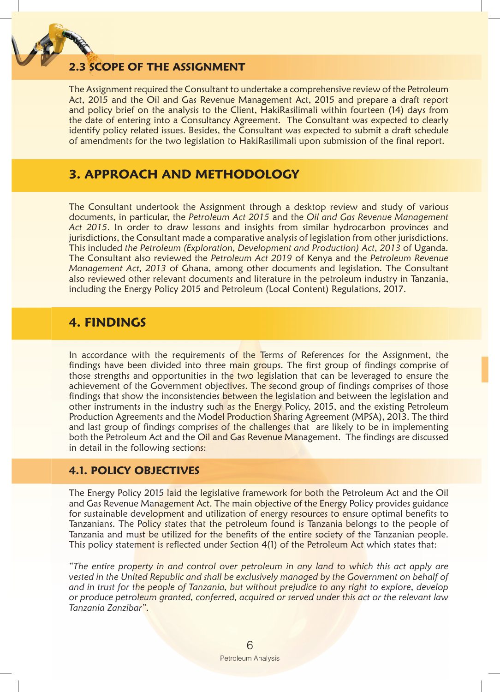

## **200PE OF THE ASSIGNMENT**

The Assignment required the Consultant to undertake a comprehensive review of the Petroleum Act, 2015 and the Oil and Gas Revenue Management Act, 2015 and prepare a draft report and policy brief on the analysis to the Client, HakiRasilimali within fourteen (14) days from the date of entering into a Consultancy Agreement. The Consultant was expected to clearly identify policy related issues. Besides, the Consultant was expected to submit a draft schedule of amendments for the two legislation to HakiRasilimali upon submission of the final report.

## **3. APPROACH AND METHODOLOGY**

The Consultant undertook the Assignment through a desktop review and study of various documents, in particular, the *Petroleum Act 2015* and the *Oil and Gas Revenue Management Act 2015*. In order to draw lessons and insights from similar hydrocarbon provinces and jurisdictions, the Consultant made a comparative analysis of legislation from other jurisdictions. This included *the Petroleum (Exploration, Development and Production) Act, 2013* of Uganda*.* The Consultant also reviewed the *Petroleum Act 2019* of Kenya and the *Petroleum Revenue Management Act, 2013* of Ghana, among other documents and legislation. The Consultant also reviewed other relevant documents and literature in the petroleum industry in Tanzania, including the Energy Policy 2015 and Petroleum (Local Content) Regulations, 2017.

## **4. FINDINGS**

In accordance with the requirements of the Terms of References for the Assignment, the findings have been divided into three main groups. The first group of findings comprise of those strengths and opportunities in the two legislation that can be leveraged to ensure the achievement of the Government objectives. The second group of findings comprises of those findings that show the inconsistencies between the legislation and between the legislation and other instruments in the industry such as the Energy Policy, 2015, and the existing Petroleum Production Agreements and the Model Production Sharing Agreement (MPSA), 2013. The third and last group of findings comprises of the challenges that are likely to be in implementing both the Petroleum Act and the Oil and Gas Revenue Management. The findings are discussed in detail in the following sections:

## **4.1. POLICY OBJECTIVES**

The Energy Policy 2015 laid the legislative framework for both the Petroleum Act and the Oil and Gas Revenue Management Act. The main objective of the Energy Policy provides guidance for sustainable development and utilization of energy resources to ensure optimal benefits to Tanzanians. The Policy states that the petroleum found is Tanzania belongs to the people of Tanzania and must be utilized for the benefits of the entire society of the Tanzanian people. This policy statement is reflected under Section 4(1) of the Petroleum Act which states that:

*"The entire property in and control over petroleum in any land to which this act apply are vested in the United Republic and shall be exclusively managed by the Government on behalf of and in trust for the people of Tanzania, but without prejudice to any right to explore, develop or produce petroleum granted, conferred, acquired or served under this act or the relevant law Tanzania Zanzibar".*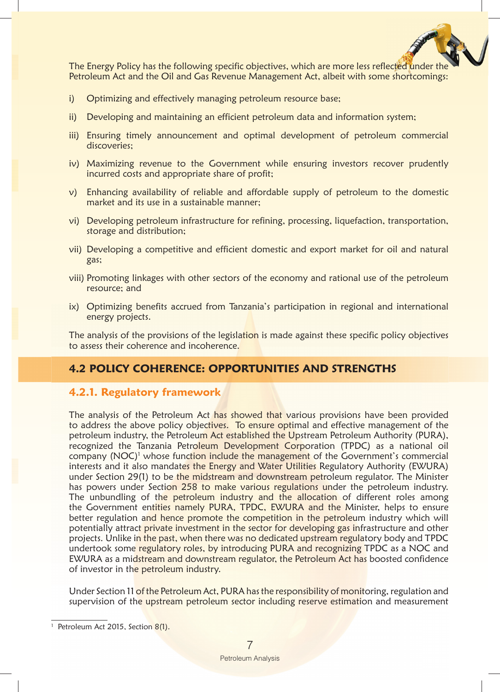

The Energy Policy has the following specific objectives, which are more less reflected under Petroleum Act and the Oil and Gas Revenue Management Act, albeit with some shortcomings:

- i) Optimizing and effectively managing petroleum resource base;
- ii) Developing and maintaining an efficient petroleum data and information system;
- iii) Ensuring timely announcement and optimal development of petroleum commercial discoveries;
- iv) Maximizing revenue to the Government while ensuring investors recover prudently incurred costs and appropriate share of profit;
- v) Enhancing availability of reliable and affordable supply of petroleum to the domestic market and its use in a sustainable manner;
- vi) Developing petroleum infrastructure for refining, processing, liquefaction, transportation, storage and distribution;
- vii) Developing a competitive and efficient domestic and export market for oil and natural gas;
- viii) Promoting linkages with other sectors of the economy and rational use of the petroleum resource; and
- ix) Optimizing benefits accrued from Tanzania's participation in regional and international energy projects.

The analysis of the provisions of the legislation is made against these specific policy objectives to assess their coherence and incoherence.

## **4.2 POLICY COHERENCE: OPPORTUNITIES AND STRENGTHS**

#### **4.2.1. Regulatory framework**

The analysis of the Petroleum Act has showed that various provisions have been provided to address the above policy objectives. To ensure optimal and effective management of the petroleum industry, the Petroleum Act established the Upstream Petroleum Authority (PURA), recognized the Tanzania Petroleum Development Corporation (TPDC) as a national oil company (NOC)<sup>1</sup> whose function include the management of the Government's commercial interests and it also mandates the Energy and Water Utilities Regulatory Authority (EWURA) under Section 29(1) to be the midstream and downstream petroleum regulator. The Minister has powers under Section 258 to make various regulations under the petroleum industry. The unbundling of the petroleum industry and the allocation of different roles among the Government entities namely PURA, TPDC, EWURA and the Minister, helps to ensure better regulation and hence promote the competition in the petroleum industry which will potentially attract private investment in the sector for developing gas infrastructure and other projects. Unlike in the past, when there was no dedicated upstream regulatory body and TPDC undertook some regulatory roles, by introducing PURA and recognizing TPDC as a NOC and EWURA as a midstream and downstream regulator, the Petroleum Act has boosted confidence of investor in the petroleum industry.

Under Section 11 of the Petroleum Act, PURA has the responsibility of monitoring, regulation and supervision of the upstream petroleum sector including reserve estimation and measurement

<sup>&</sup>lt;sup>1</sup> Petroleum Act 2015, Section 8(1).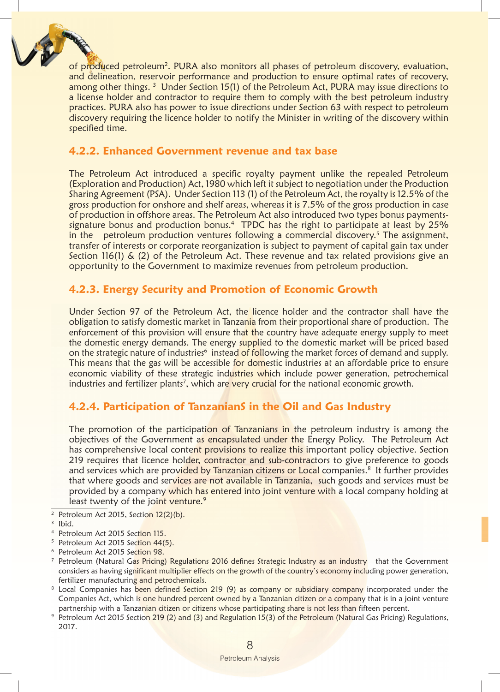

of produced petroleum<sup>2</sup>. PURA also monitors all phases of petroleum discovery, evaluation, and delineation, reservoir performance and production to ensure optimal rates of recovery, among other things.<sup>3</sup> Under Section 15(1) of the Petroleum Act, PURA may issue directions to a license holder and contractor to require them to comply with the best petroleum industry practices. PURA also has power to issue directions under Section 63 with respect to petroleum discovery requiring the licence holder to notify the Minister in writing of the discovery within specified time.

## **4.2.2. Enhanced Government revenue and tax base**

The Petroleum Act introduced a specific royalty payment unlike the repealed Petroleum (Exploration and Production) Act, 1980 which left it subject to negotiation under the Production Sharing Agreement (PSA). Under Section 113 (1) of the Petroleum Act, the royalty is 12.5% of the gross production for onshore and shelf areas, whereas it is 7.5% of the gross production in case of production in offshore areas. The Petroleum Act also introduced two types bonus paymentssignature bonus and production bonus.<sup>4</sup> TPDC has the right to participate at least by 25% in the petroleum production ventures following a commercial discovery.<sup>5</sup> The assignment, transfer of interests or corporate reorganization is subject to payment of capital gain tax under Section 116(1) & (2) of the Petroleum Act. These revenue and tax related provisions give an opportunity to the Government to maximize revenues from petroleum production.

## **4.2.3. Energy Security and Promotion of Economic Growth**

Under Section 97 of the Petroleum Act, the licence holder and the contractor shall have the obligation to satisfy domestic market in Tanzania from their proportional share of production. The enforcement of this provision will ensure that the country have adequate energy supply to meet the domestic energy demands. The energy supplied to the domestic market will be priced based on the strategic nature of industries<sup>6</sup> instead <mark>of foll</mark>owing the market forces of demand and supply. This means that the gas will be accessible for domestic industries at an affordable price to ensure economic viability of these strategic industries which include power generation, petrochemical industries and fertilizer plants<sup>7</sup>, which ar<mark>e very crucia</mark>l for the national economic growth.

## **4.2.4. Participation of TanzanianS in the Oil and Gas Industry**

The promotion of the participation of Tanzanians in the petroleum industry is among the objectives of the Government as encapsulated under the Energy Policy. The Petroleum Act has comprehensive local content provisions to realize this important policy objective. Section 219 requires that licence holder, contractor and sub-contractors to give preference to goods and services which are provided by Tanzanian citizens or Local companies.<sup>8</sup> It further provides that where goods and services are not available in Tanzania, such goods and services must be provided by a company which has entered into joint venture with a local company holding at least twenty of the joint venture.<sup>9</sup>

2 Petroleum Act 2015, Section 12(2)(b).

- <sup>5</sup> Petroleum Act 2015 Section 44(5).
- $^{\rm 6}$  Petroleum Act 2015 Se<mark>ction 98.</mark>
- <sup>7</sup> Petroleum (Natural G<mark>as Pricing) Regulations 2016 defines Strategic Industry as an industry that the Government</mark> considers as having significant multiplier effects on the growth of the country's economy including power generation, fertilizer manufacturing and petrochemicals.
- $^{\rm 8}$  Local Companies has been defined Section 219 (9) as company or subsidiary company incorporated under the Companies Act, which is one hundred percent owned by a Tanzanian citizen or a company that is in a joint venture partnership with a Tanzanian citizen or citizens whose participating share is not less than fifteen percent.
- <sup>9</sup> Petroleum Act 2015 Sectio<mark>n 219 (2) and (3) and Regulation 15(3) of the Petroleum (Natural Gas Pricing) Regulations,</mark> 2017.

<sup>3</sup> Ibid.

<sup>&</sup>lt;sup>4</sup> Petroleum Act 2015 Sec<mark>tion 115.</mark>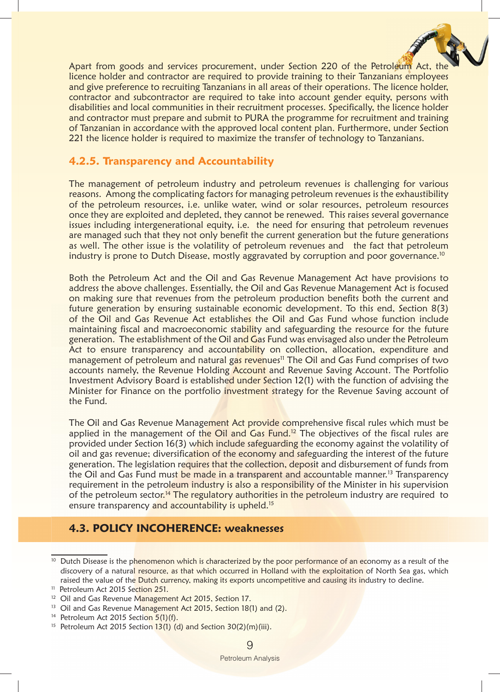

Apart from goods and services procurement, under Section 220 of the Petroleum Act, the licence holder and contractor are required to provide training to their Tanzanians employees and give preference to recruiting Tanzanians in all areas of their operations. The licence holder, contractor and subcontractor are required to take into account gender equity, persons with disabilities and local communities in their recruitment processes. Specifically, the licence holder and contractor must prepare and submit to PURA the programme for recruitment and training of Tanzanian in accordance with the approved local content plan. Furthermore, under Section 221 the licence holder is required to maximize the transfer of technology to Tanzanians.

#### **4.2.5. Transparency and Accountability**

The management of petroleum industry and petroleum revenues is challenging for various reasons. Among the complicating factors for managing petroleum revenues is the exhaustibility of the petroleum resources, i.e. unlike water, wind or solar resources, petroleum resources once they are exploited and depleted, they cannot be renewed. This raises several governance issues including intergenerational equity, i.e. the need for ensuring that petroleum revenues are managed such that they not only benefit the current generation but the future generations as well. The other issue is the volatility of petroleum revenues and the fact that petroleum industry is prone to Dutch Disease, mostly aggravated by corruption and poor governance.<sup>10</sup>

Both the Petroleum Act and the Oil and Gas Revenue Management Act have provisions to address the above challenges. Essentially, the Oil and Gas Revenue Management Act is focused on making sure that revenues from the petroleum production benefits both the current and future generation by ensuring sustainable economic development. To this end, Section 8(3) of the Oil and Gas Revenue Act establishes the Oil and Gas Fund whose function include maintaining fiscal and macroeconomic stability and safeguarding the resource for the future generation. The establishment of the Oil and Gas Fund was envisaged also under the Petroleum Act to ensure transparency and accountability on collection, allocation, expenditure and management of petroleum and natural gas revenues<sup>11</sup> The Oil and Gas Fund comprises of two accounts namely, the Revenue Holding Account and Revenue Saving Account. The Portfolio Investment Advisory Board is established under Section 12(1) with the function of advising the Minister for Finance on the portfolio investment strategy for the Revenue Saving account of the Fund.

The Oil and Gas Revenue Management Act provide comprehensive fiscal rules which must be applied in the management of the Oil and Gas Fund.<sup>12</sup> The objectives of the fiscal rules are provided under Section 16(3) which include safeguarding the economy against the volatility of oil and gas revenue; diversification of the economy and safeguarding the interest of the future generation. The legislation requires that the collection, deposit and disbursement of funds from the Oil and Gas Fund must be made in a transparent and accountable manner.<sup>13</sup> Transparency requirement in the petroleum industry is also a responsibility of the Minister in his supervision of the petroleum sector.<sup>14</sup> The regulatory authorities in the petroleum industry are required to ensure transparency and accountability is upheld.<sup>15</sup>

## **4.3. POLICY INCOHERENCE: weaknesses**

- <sup>13</sup> Oil and Gas Revenue Management Act 2015, Section 18(1) and (2).
- <sup>14</sup> Petroleum Act 2015 Section 5(1)(f).

<sup>&</sup>lt;sup>10</sup> Dutch Disease is the phenomenon which is characterized by the poor performance of an economy as a result of the discovery of a natural resource, as that which occurred in Holland with the exploitation of North Sea gas, which raised the value of the Dutch currency, making its exports uncompetitive and causing its industry to decline.

<sup>&</sup>lt;sup>11</sup> Petroleum Act 2015 Section 251.

<sup>&</sup>lt;sup>12</sup> Oil and Gas Revenue Management Act 2015, Section 17.

<sup>&</sup>lt;sup>15</sup> Petroleum Act 2015 Section  $13(1)$  (d) and Section  $30(2)(m)(iii)$ .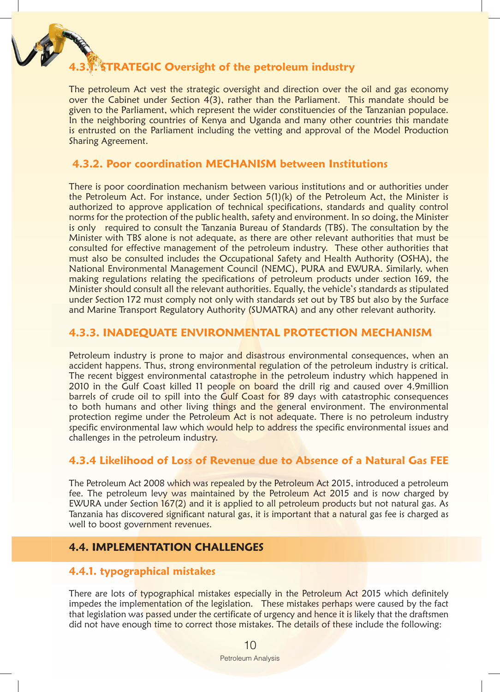

## **4.3.1. STRATEGIC Oversight of the petroleum industry**

The petroleum Act vest the strategic oversight and direction over the oil and gas economy over the Cabinet under Section 4(3), rather than the Parliament. This mandate should be given to the Parliament, which represent the wider constituencies of the Tanzanian populace. In the neighboring countries of Kenya and Uganda and many other countries this mandate is entrusted on the Parliament including the vetting and approval of the Model Production Sharing Agreement.

## **4.3.2. Poor coordination MECHANISM between Institutions**

There is poor coordination mechanism between various institutions and or authorities under the Petroleum Act. For instance, under Section 5(1)(k) of the Petroleum Act, the Minister is authorized to approve application of technical specifications, standards and quality control norms for the protection of the public health, safety and environment. In so doing, the Minister is only required to consult the Tanzania Bureau of Standards (TBS). The consultation by the Minister with TBS alone is not adequate, as there are other relevant authorities that must be consulted for effective management of the petroleum industry. These other authorities that must also be consulted includes the Occupational Safety and Health Authority (OSHA), the National Environmental Management Council (NEMC), PURA and EWURA. Similarly, when making regulations relating the specifications of petroleum products under section 169, the Minister should consult all the relevant authorities. Equally, the vehicle's standards as stipulated under Section 172 must comply not only with standards set out by TBS but also by the Surface and Marine Transport Regulatory Authority (SUMATRA) and any other relevant authority.

#### **4.3.3. INADEQUATE ENVIRONMENTAL PROTECTION MECHANISM**

Petroleum industry is prone to major and disastrous environmental consequences, when an accident happens. Thus, strong environmental regulation of the petroleum industry is critical. The recent biggest environmental catastrophe in the petroleum industry which happened in 2010 in the Gulf Coast killed 11 people on board the drill rig and caused over 4.9million barrels of crude oil to spill into the Gulf Coast for 89 days with catastrophic consequences to both humans and other living things and the general environment. The environmental protection regime under the Petroleum Act is not adequate. There is no petroleum industry specific environmental law which would help to address the specific environmental issues and challenges in the petroleum industry.

## **4.3.4 Likelihood of Loss of Revenue due to Absence of a Natural Gas FEE**

The Petroleum Act 2008 which was repealed by the Petroleum Act 2015, introduced a petroleum fee. The petroleum levy was maintained by the Petroleum Act 2015 and is now charged by EWURA under Section 167(2) and it is applied to all petroleum products but not natural gas. As Tanzania has discovered significant natural gas, it is important that a natural gas fee is charged as well to boost government revenues.

## **4.4. IMPLEMENTATION CHALLENGES**

#### **4.4.1. typographical mistakes**

There are lots of typographical mistakes especially in the Petroleum Act 2015 which definitely impedes the implementation of the legislation. These mistakes perhaps were caused by the fact that legislation was passed under the certificate of urgency and hence it is likely that the draftsmen did not have enough time to correct those mistakes. The details of these include the following: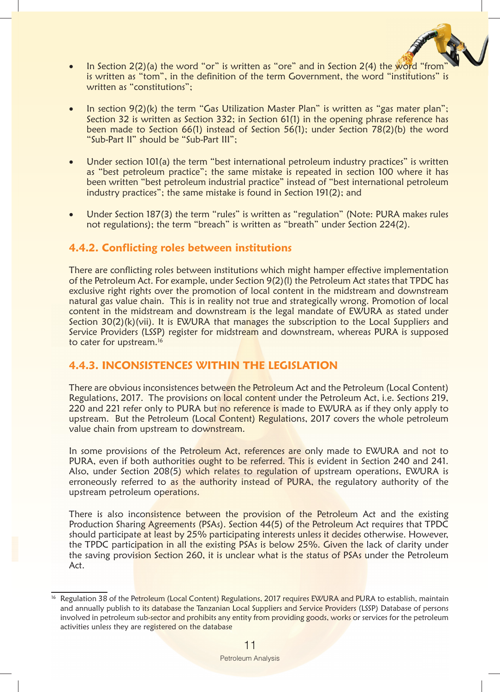

- In Section  $2(2)(a)$  the word "or" is written as "ore" and in Section  $2(4)$  the word "from is written as "tom", in the definition of the term Government, the word "institutions" is written as "constitutions";
- In section 9(2)(k) the term "Gas Utilization Master Plan" is written as "gas mater plan"; Section 32 is written as Section 332; in Section 61(1) in the opening phrase reference has been made to Section 66(1) instead of Section 56(1); under Section 78(2)(b) the word "Sub-Part II" should be "Sub-Part III";
- Under section 101(a) the term "best international petroleum industry practices" is written as "best petroleum practice"; the same mistake is repeated in section 100 where it has been written "best petroleum industrial practice" instead of "best international petroleum industry practices"; the same mistake is found in Section 191(2); and
- Under Section 187(3) the term "rules" is written as "regulation" (Note: PURA makes rules not regulations); the term "breach" is written as "breath" under Section 224(2).

## **4.4.2. Conflicting roles between institutions**

There are conflicting roles between institutions which might hamper effective implementation of the Petroleum Act. For example, under Section 9(2)(l) the Petroleum Act states that TPDC has exclusive right rights over the promotion of local content in the midstream and downstream natural gas value chain. This is in reality not true and strategically wrong. Promotion of local content in the midstream and downstream is the legal mandate of EWURA as stated under Section 30(2)(k)(vii). It is EWURA that manages the subscription to the Local Suppliers and Service Providers (LSSP) register for midstream and downstream, whereas PURA is supposed to cater for upstream.<sup>16</sup>

## **4.4.3. INCONSISTENCES WITHIN THE LEGISLATION**

There are obvious inconsistences between the Petroleum Act and the Petroleum (Local Content) Regulations, 2017. The provisions on local content under the Petroleum Act, i.e. Sections 219, 220 and 221 refer only to PURA but no reference is made to EWURA as if they only apply to upstream. But the Petroleum (Local Content) Regulations, 2017 covers the whole petroleum value chain from upstream to downstream.

In some provisions of the Petroleum Act, references are only made to EWURA and not to PURA, even if both authorities ought to be referred. This is evident in Section 240 and 241. Also, under Section 208(5) which relates to regulation of upstream operations, EWURA is erroneously referred to as the authority instead of PURA, the regulatory authority of the upstream petroleum operations.

There is also inconsistence between the provision of the Petroleum Act and the existing Production Sharing Agreements (PSAs). Section 44(5) of the Petroleum Act requires that TPDC should participate at least by 25% participating interests unless it decides otherwise. However, the TPDC participation in all the existing PSAs is below 25%. Given the lack of clarity under the saving provision Section 260, it is unclear what is the status of PSAs under the Petroleum Act.

Regulation 38 of the Petroleum (Local Content) Regulations, 2017 requires EWURA and PURA to establish, maintain and annually publish to its database the Tanzanian Local Suppliers and Service Providers (LSSP) Database of persons involved in petroleum sub-sector and prohibits any entity from providing goods, works or services for the petroleum activities unless they are registered on the database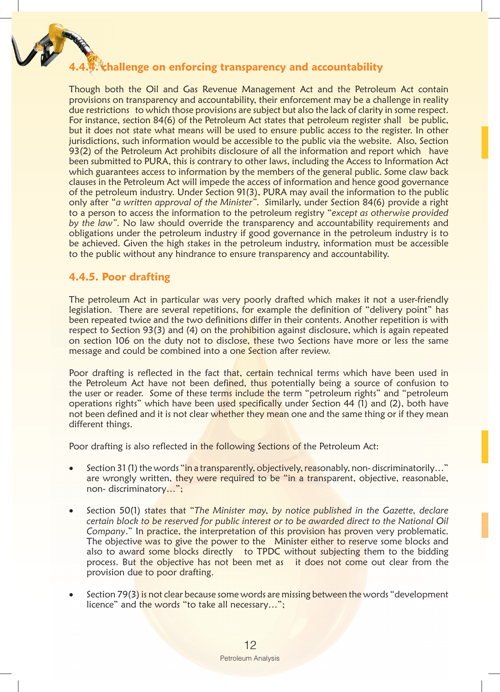# **4.4.4. challenge on enforcing transparency and accountability**

Though both the Oil and Gas Revenue Management Act and the Petroleum Act contain provisions on transparency and accountability, their enforcement may be a challenge in reality due restrictions to which those provisions are subject but also the lack of clarity in some respect. For instance, section 84(6) of the Petroleum Act states that petroleum register shall be public, but it does not state what means will be used to ensure public access to the register. In other jurisdictions, such information would be accessible to the public via the website. Also, Section 93(2) of the Petroleum Act prohibits disclosure of all the information and report which have been submitted to PURA, this is contrary to other laws, including the Access to Information Act which guarantees access to information by the members of the general public. Some claw back clauses in the Petroleum Act will impede the access of information and hence good governance of the petroleum industry. Under Section 91(3), PURA may avail the information to the public only after "*a written approval of the Minister".* Similarly, under Section 84(6) provide a right to a person to access the information to the petroleum registry "*except as otherwise provided by the law".* No law should override the transparency and accountability requirements and obligations under the petroleum industry if good governance in the petroleum industry is to be achieved. Given the high stakes in the petroleum industry, information must be accessible to the public without any hindrance to ensure transparency and accountability.

## **4.4.5. Poor drafting**

The petroleum Act in particular was very poorly drafted which makes it not a user-friendly legislation. There are several repetitions, for example the definition of "delivery point" has been repeated twice and the two definitions differ in their contents. Another repetition is with respect to Section 93(3) and (4) on the prohibition against disclosure, which is again repeated on section 106 on the duty not to disclose, these two Sections have more or less the same message and could be combined into a one Section after review.

Poor drafting is reflected in the fact that, certain technical terms which have been used in the Petroleum Act have not been defined, thus potentially being a source of confusion to the user or reader. Some of these terms include the term "petroleum rights" and "petroleum operations rights" which have been used specifically under Section 44 (1) and (2), both have not been defined and it is not clear whether they mean one and the same thing or if they mean different things.

Poor drafting is also reflected in the following Sections of the Petroleum Act:

- Section 31 (1) the words "in a transparently, objectively, reasonably, non-discriminatorily..." are wrongly written, they were required to be "in a transparent, objective, reasonable, non- discriminatory…";
- Section 50(1) states that "The Minister may, by notice published in the Gazette, declare *certain block to be reserved for public interest or to be awarded direct to the National Oil Company.*" In practice, the interpretation of this provision has proven very problematic. The objective was to give the power to the Minister either to reserve some blocks and also to award some blocks directly to TPDC without subjecting them to the bidding process. But the objective has not been met as it does not come out clear from the provision due to poor drafting.
- Section 79(3) is not clear because some words are missing between the words "development" licence" and the words "to take all necessary…";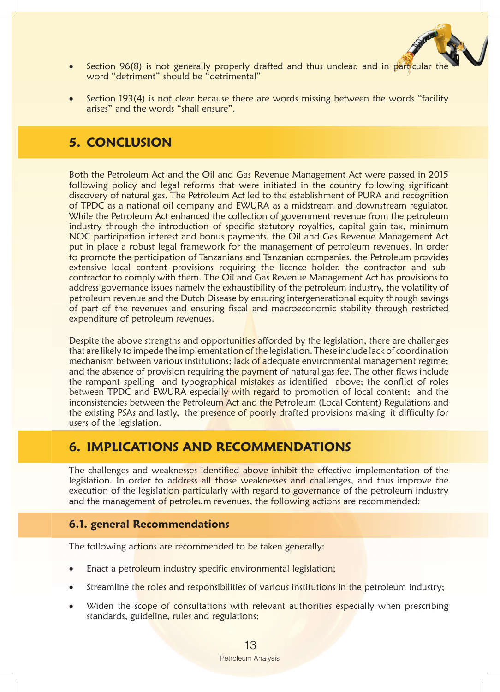

- Section 96(8) is not generally properly drafted and thus unclear, and in particular word "detriment" should be "detrimental"
- Section 193(4) is not clear because there are words missing between the words "facility" arises" and the words "shall ensure".

# **5. CONCLUSION**

Both the Petroleum Act and the Oil and Gas Revenue Management Act were passed in 2015 following policy and legal reforms that were initiated in the country following significant discovery of natural gas. The Petroleum Act led to the establishment of PURA and recognition of TPDC as a national oil company and EWURA as a midstream and downstream regulator. While the Petroleum Act enhanced the collection of government revenue from the petroleum industry through the introduction of specific statutory royalties, capital gain tax, minimum NOC participation interest and bonus payments, the Oil and Gas Revenue Management Act put in place a robust legal framework for the management of petroleum revenues. In order to promote the participation of Tanzanians and Tanzanian companies, the Petroleum provides extensive local content provisions requiring the licence holder, the contractor and subcontractor to comply with them. The Oil and Gas Revenue Management Act has provisions to address governance issues namely the exhaustibility of the petroleum industry, the volatility of petroleum revenue and the Dutch Disease by ensuring intergenerational equity through savings of part of the revenues and ensuring fiscal and macroeconomic stability through restricted expenditure of petroleum revenues.

Despite the above strengths and opportunities afforded by the legislation, there are challenges that are likely to impede the implementation of the legislation. These include lack of coordination mechanism between various institutions; lack of adequate environmental management regime; and the absence of provision requiring the payment of natural gas fee. The other flaws include the rampant spelling and typographical mistakes as identified above; the conflict of roles between TPDC and EWURA especially with regard to promotion of local content; and the inconsistencies between the Petroleum Act and the Petroleum (Local Content) Regulations and the existing PSAs and lastly, the presence of poorly drafted provisions making it difficulty for users of the legislation.

## **6. IMPLICATIONS AND RECOMMENDATIONS**

The challenges and weaknesses identified above inhibit the effective implementation of the legislation. In order to address all those weaknesses and challenges, and thus improve the execution of the legislation particularly with regard to governance of the petroleum industry and the management of petroleum revenues, the following actions are recommended:

## **6.1. general Recommendations**

The following actions are recommended to be taken generally:

- Enact a petroleum industry specific environmental legislation;
- Streamline the roles and responsibilities of various institutions in the petroleum industry;
- Widen the scope of consultations with relevant authorities especially when prescribing standards, guideline, rules and regulations;